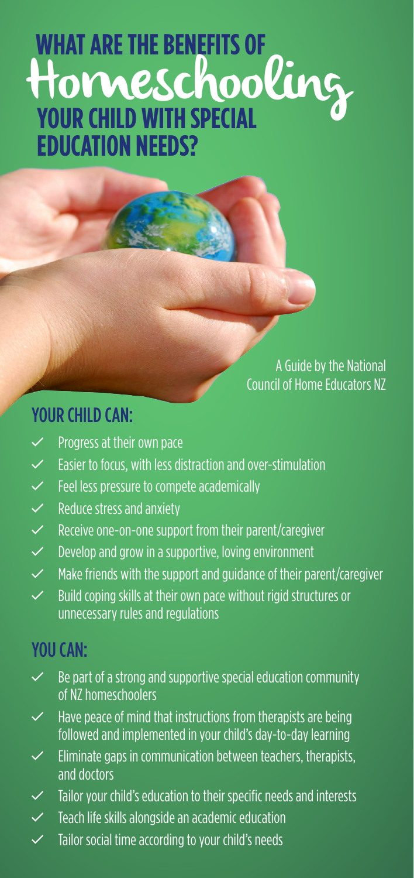# **YOUR CHILD WITH SPECIAL EDUCATION NEEDS? WHAT ARE THE BENEFITS OF** Homeschooling

A Guide by the National Council of Home Educators NZ

#### YOUR CHILD CAN:

- $\checkmark$  Progress at their own pace
- $\checkmark$  Easier to focus, with less distraction and over-stimulation
- $\checkmark$  Feel less pressure to compete academically
- $\checkmark$  Reduce stress and anxiety
- $\checkmark$  Receive one-on-one support from their parent/caregiver
- $\checkmark$  Develop and grow in a supportive, loving environment
- $\checkmark$  Make friends with the support and guidance of their parent/caregiver
- $\checkmark$  Build coping skills at their own pace without rigid structures or unnecessary rules and regulations

#### YOU CAN<sup>-</sup>

- $\checkmark$  Be part of a strong and supportive special education community of NZ homeschoolers
- $\checkmark$  Have peace of mind that instructions from therapists are being followed and implemented in your child's day-to-day learning
- $\checkmark$  Eliminate gaps in communication between teachers, therapists, and doctors
- Tailor your child's education to their specific needs and interests
- $\checkmark$  Teach life skills alongside an academic education
- $\checkmark$  Tailor social time according to your child's needs